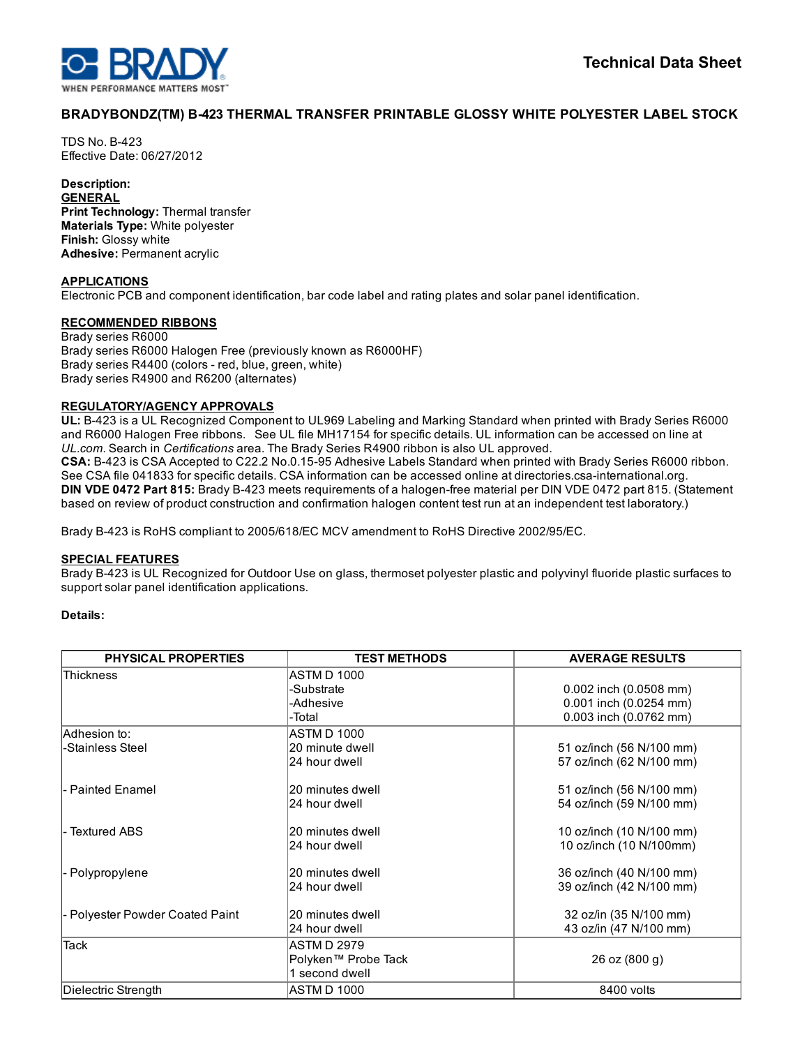

# BRADYBONDZ(TM) B423 THERMAL TRANSFER PRINTABLE GLOSSY WHITE POLYESTER LABEL STOCK

**TDS No. B-423** Effective Date: 06/27/2012

## Description:

**GENERAL** Print Technology: Thermal transfer Materials Type: White polyester Finish: Glossy white Adhesive: Permanent acrylic

### APPLICATIONS

Electronic PCB and component identification, bar code label and rating plates and solar panel identification.

## RECOMMENDED RIBBONS

Brady series R6000 Brady series R6000 Halogen Free (previously known as R6000HF) Brady series R4400 (colors - red, blue, green, white) Brady series R4900 and R6200 (alternates)

## REGULATORY/AGENCY APPROVALS

UL: B423 is a UL Recognized Component to UL969 Labeling and Marking Standard when printed with Brady Series R6000 and R6000 Halogen Free ribbons. See UL file MH17154 for specific details. UL information can be accessed on line at *UL.com*. Search in *Certifications* area. The Brady Series R4900 ribbon is also UL approved. CSA: B-423 is CSA Accepted to C22.2 No.0.15-95 Adhesive Labels Standard when printed with Brady Series R6000 ribbon.

See CSA file 041833 for specific details. CSA information can be accessed online at directories.csa-international.org. DIN VDE 0472 Part 815: Brady B-423 meets requirements of a halogen-free material per DIN VDE 0472 part 815. (Statement based on review of product construction and confirmation halogen content test run at an independent test laboratory.)

Brady B423 is RoHS compliant to 2005/618/EC MCV amendment to RoHS Directive 2002/95/EC.

## SPECIAL FEATURES

Brady B423 is UL Recognized for Outdoor Use on glass, thermoset polyester plastic and polyvinyl fluoride plastic surfaces to support solar panel identification applications.

### Details:

| <b>PHYSICAL PROPERTIES</b>      | <b>TEST METHODS</b> | <b>AVERAGE RESULTS</b>   |
|---------------------------------|---------------------|--------------------------|
| <b>Thickness</b>                | ASTM D 1000         |                          |
|                                 | -Substrate          | 0.002 inch (0.0508 mm)   |
|                                 | -Adhesive           | 0.001 inch (0.0254 mm)   |
|                                 | -Total              | 0.003 inch (0.0762 mm)   |
| lAdhesion to∶                   | ASTM D 1000         |                          |
| -Stainless Steel                | 20 minute dwell     | 51 oz/inch (56 N/100 mm) |
|                                 | 24 hour dwell       | 57 oz/inch (62 N/100 mm) |
| - Painted Enamel                | 20 minutes dwell    | 51 oz/inch (56 N/100 mm) |
|                                 | 24 hour dwell       | 54 oz/inch (59 N/100 mm) |
| <b>Textured ABS</b>             | 20 minutes dwell    | 10 oz/inch (10 N/100 mm) |
|                                 | 24 hour dwell       | 10 oz/inch (10 N/100mm)  |
| - Polypropylene                 | 20 minutes dwell    | 36 oz/inch (40 N/100 mm) |
|                                 | 24 hour dwell       | 39 oz/inch (42 N/100 mm) |
| - Polyester Powder Coated Paint | 20 minutes dwell    | 32 oz/in (35 N/100 mm)   |
|                                 | 24 hour dwell       | 43 oz/in (47 N/100 mm)   |
| <b>Tack</b>                     | ASTM D 2979         |                          |
|                                 | Polyken™ Probe Tack | 26 oz (800 g)            |
|                                 | 1 second dwell      |                          |
| Dielectric Strength             | ASTM D 1000         | 8400 volts               |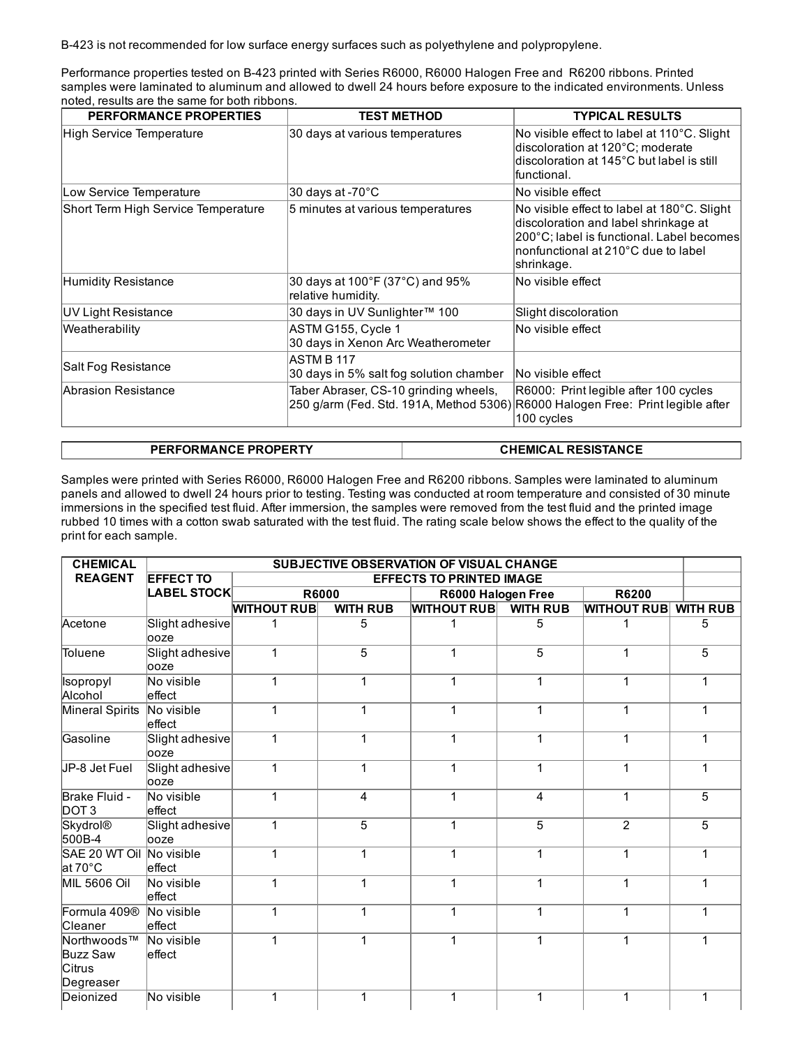B423 is not recommended for low surface energy surfaces such as polyethylene and polypropylene.

Performance properties tested on B423 printed with Series R6000, R6000 Halogen Free and R6200 ribbons. Printed samples were laminated to aluminum and allowed to dwell 24 hours before exposure to the indicated environments. Unless noted, results are the same for both ribbons.

| <b>PERFORMANCE PROPERTIES</b>       | <b>TEST METHOD</b>                                       |  | <b>TYPICAL RESULTS</b>                                                                                                                                                                |  |
|-------------------------------------|----------------------------------------------------------|--|---------------------------------------------------------------------------------------------------------------------------------------------------------------------------------------|--|
| High Service Temperature            | 30 days at various temperatures                          |  | No visible effect to label at 110°C. Slight<br>discoloration at 120°C; moderate<br>discoloration at 145°C but label is still<br>lfunctional.                                          |  |
| Low Service Temperature             | 30 days at -70°C                                         |  | No visible effect                                                                                                                                                                     |  |
| Short Term High Service Temperature | 5 minutes at various temperatures                        |  | No visible effect to label at 180°C. Slight<br>discoloration and label shrinkage at<br>200°C; label is functional. Label becomes<br>nonfunctional at 210°C due to label<br>shrinkage. |  |
| Humidity Resistance                 | 30 days at 100°F (37°C) and 95%<br>relative humidity.    |  | No visible effect                                                                                                                                                                     |  |
| UV Light Resistance                 | 30 days in UV Sunlighter™ 100                            |  | Slight discoloration                                                                                                                                                                  |  |
| Weatherability                      | ASTM G155, Cycle 1<br>30 days in Xenon Arc Weatherometer |  | No visible effect                                                                                                                                                                     |  |
| Salt Fog Resistance                 | ASTM B 117<br>30 days in 5% salt fog solution chamber    |  | No visible effect                                                                                                                                                                     |  |
| <b>IAbrasion Resistance</b>         | Taber Abraser, CS-10 grinding wheels,                    |  | R6000: Print legible after 100 cycles<br>250 g/arm (Fed. Std. 191A, Method 5306) R6000 Halogen Free: Print legible after<br>100 cycles                                                |  |
|                                     |                                                          |  |                                                                                                                                                                                       |  |
| <b>PERFORMANCE PROPERTY</b>         |                                                          |  | <b>CHEMICAL RESISTANCE</b>                                                                                                                                                            |  |

Samples were printed with Series R6000, R6000 Halogen Free and R6200 ribbons. Samples were laminated to aluminum panels and allowed to dwell 24 hours prior to testing. Testing was conducted at room temperature and consisted of 30 minute immersions in the specified test fluid. After immersion, the samples were removed from the test fluid and the printed image rubbed 10 times with a cotton swab saturated with the test fluid. The rating scale below shows the effect to the quality of the print for each sample.

| <b>CHEMICAL</b>                                              | SUBJECTIVE OBSERVATION OF VISUAL CHANGE |                    |                                 |                    |                 |                    |                 |
|--------------------------------------------------------------|-----------------------------------------|--------------------|---------------------------------|--------------------|-----------------|--------------------|-----------------|
| <b>REAGENT</b>                                               | <b>EFFECT TO</b>                        |                    | <b>EFFECTS TO PRINTED IMAGE</b> |                    |                 |                    |                 |
|                                                              | <b>LABEL STOCK</b>                      | <b>R6000</b>       |                                 | R6000 Halogen Free |                 | R6200              |                 |
|                                                              |                                         | <b>WITHOUT RUB</b> | <b>WITH RUB</b>                 | <b>WITHOUT RUB</b> | <b>WITH RUB</b> | <b>WITHOUT RUB</b> | <b>WITH RUB</b> |
| Acetone                                                      | Slight adhesive<br>looze                | 1                  | 5                               | 1                  | 5               | 1                  | 5               |
| Toluene                                                      | Slight adhesive<br>looze                | 1                  | $\overline{5}$                  | 1                  | $\overline{5}$  | 1                  | 5               |
| Isopropyl<br>Alcohol                                         | No visible<br>effect                    | 1                  | 1                               | 1                  | 1               | 1                  | 1               |
| Mineral Spirits                                              | No visible<br>leffect                   | 1                  | 1                               | 1                  | 1               | 1                  | 1               |
| Gasoline                                                     | Slight adhesive<br>looze                | 1                  | 1                               | 1                  | 1               | 1                  | 1               |
| JP-8 Jet Fuel                                                | Slight adhesive<br>looze                | 1                  | 1                               | 1                  | 1               | 1                  | 1               |
| Brake Fluid -<br>DOT <sub>3</sub>                            | No visible<br>leffect                   | 1                  | 4                               | 1                  | 4               | 1                  | 5               |
| Skydrol®<br>500B-4                                           | Slight adhesive<br>looze                | 1                  | 5                               | 1                  | 5               | 2                  | 5               |
| SAE 20 WT Oil<br>at 70°C                                     | No visible<br>effect                    | 1                  | 1                               | 1                  | $\mathbf{1}$    | $\mathbf{1}$       | 1               |
| <b>MIL 5606 Oil</b>                                          | No visible<br>effect                    | 1                  | 1                               | 1                  | 1               | $\mathbf{1}$       | 1               |
| Formula 409 <sup>®</sup><br><b>Cleaner</b>                   | No visible<br>effect                    | 1                  | 1                               | 1                  | 1               | 1                  |                 |
| Northwoods™<br><b>Buzz Saw</b><br><b>Citrus</b><br>Degreaser | No visible<br>leffect                   | 1                  | 1                               | 1                  | 1               | $\mathbf{1}$       | 1               |
| Deionized                                                    | No visible                              | 1                  | 1                               | 1                  | 1               | 1                  | 1               |